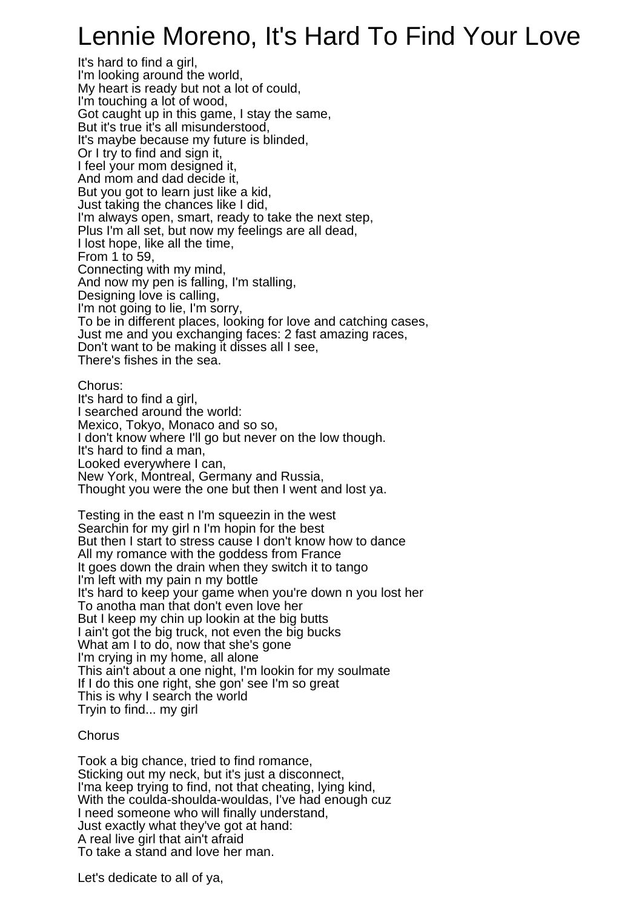## Lennie Moreno, It's Hard To Find Your Love

It's hard to find a girl, I'm looking around the world, My heart is ready but not a lot of could, I'm touching a lot of wood, Got caught up in this game, I stay the same, But it's true it's all misunderstood, It's maybe because my future is blinded, Or I try to find and sign it, I feel your mom designed it, And mom and dad decide it, But you got to learn just like a kid, Just taking the chances like I did, I'm always open, smart, ready to take the next step, Plus I'm all set, but now my feelings are all dead, I lost hope, like all the time, From 1 to 59, Connecting with my mind, And now my pen is falling, I'm stalling, Designing love is calling, I'm not going to lie, I'm sorry, To be in different places, looking for love and catching cases, Just me and you exchanging faces: 2 fast amazing races, Don't want to be making it disses all I see, There's fishes in the sea.

Chorus: It's hard to find a girl, I searched around the world: Mexico, Tokyo, Monaco and so so, I don't know where I'll go but never on the low though. It's hard to find a man, Looked everywhere I can, New York, Montreal, Germany and Russia, Thought you were the one but then I went and lost ya.

Testing in the east n I'm squeezin in the west Searchin for my girl n I'm hopin for the best But then I start to stress cause I don't know how to dance All my romance with the goddess from France It goes down the drain when they switch it to tango I'm left with my pain n my bottle It's hard to keep your game when you're down n you lost her To anotha man that don't even love her But I keep my chin up lookin at the big butts I ain't got the big truck, not even the big bucks What am I to do, now that she's gone I'm crying in my home, all alone This ain't about a one night, I'm lookin for my soulmate If I do this one right, she gon' see I'm so great This is why I search the world Tryin to find... my girl

## **Chorus**

Took a big chance, tried to find romance, Sticking out my neck, but it's just a disconnect, I'ma keep trying to find, not that cheating, lying kind, With the coulda-shoulda-wouldas, I've had enough cuz I need someone who will finally understand, Just exactly what they've got at hand: A real live girl that ain't afraid To take a stand and love her man.

Let's dedicate to all of ya,